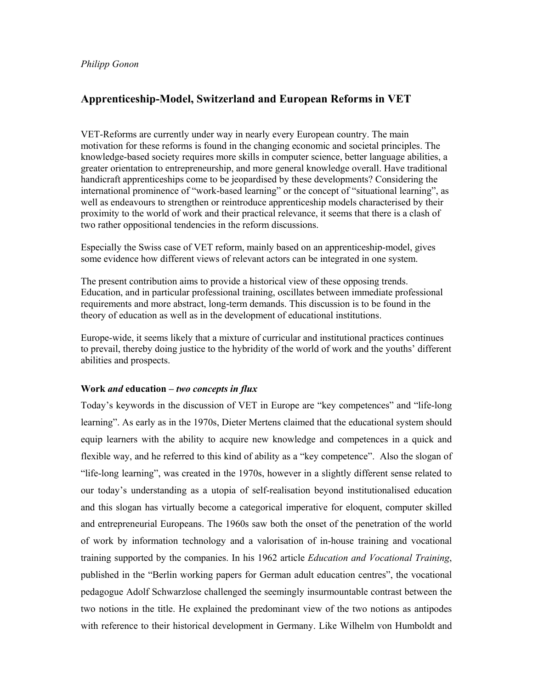## **Apprenticeship-Model, Switzerland and European Reforms in VET**

VET-Reforms are currently under way in nearly every European country. The main motivation for these reforms is found in the changing economic and societal principles. The knowledge-based society requires more skills in computer science, better language abilities, a greater orientation to entrepreneurship, and more general knowledge overall. Have traditional handicraft apprenticeships come to be jeopardised by these developments? Considering the international prominence of "work-based learning" or the concept of "situational learning", as well as endeavours to strengthen or reintroduce apprenticeship models characterised by their proximity to the world of work and their practical relevance, it seems that there is a clash of two rather oppositional tendencies in the reform discussions.

Especially the Swiss case of VET reform, mainly based on an apprenticeship-model, gives some evidence how different views of relevant actors can be integrated in one system.

The present contribution aims to provide a historical view of these opposing trends. Education, and in particular professional training, oscillates between immediate professional requirements and more abstract, long-term demands. This discussion is to be found in the theory of education as well as in the development of educational institutions.

Europe-wide, it seems likely that a mixture of curricular and institutional practices continues to prevail, thereby doing justice to the hybridity of the world of work and the youths' different abilities and prospects.

## **Work** *and* **education** *– two concepts in flux*

Today's keywords in the discussion of VET in Europe are "key competences" and "life-long learning". As early as in the 1970s, Dieter Mertens claimed that the educational system should equip learners with the ability to acquire new knowledge and competences in a quick and flexible way, and he referred to this kind of ability as a "key competence". Also the slogan of "life-long learning", was created in the 1970s, however in a slightly different sense related to our today's understanding as a utopia of self-realisation beyond institutionalised education and this slogan has virtually become a categorical imperative for eloquent, computer skilled and entrepreneurial Europeans. The 1960s saw both the onset of the penetration of the world of work by information technology and a valorisation of in-house training and vocational training supported by the companies. In his 1962 article *Education and Vocational Training*, published in the "Berlin working papers for German adult education centres", the vocational pedagogue Adolf Schwarzlose challenged the seemingly insurmountable contrast between the two notions in the title. He explained the predominant view of the two notions as antipodes with reference to their historical development in Germany. Like Wilhelm von Humboldt and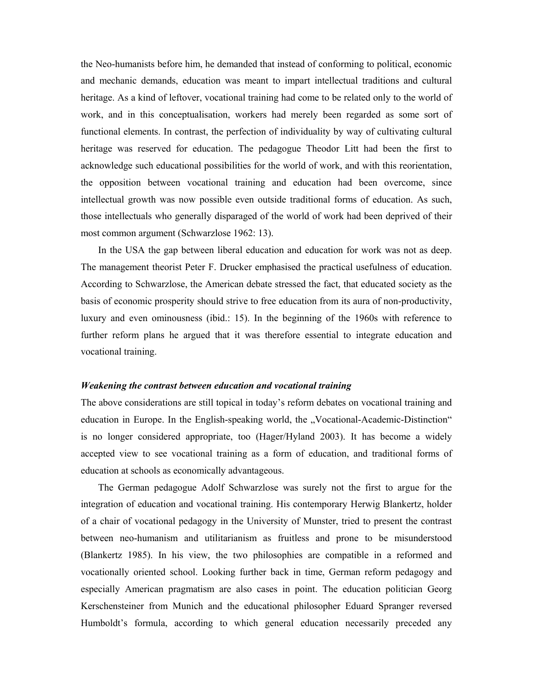the Neo-humanists before him, he demanded that instead of conforming to political, economic and mechanic demands, education was meant to impart intellectual traditions and cultural heritage. As a kind of leftover, vocational training had come to be related only to the world of work, and in this conceptualisation, workers had merely been regarded as some sort of functional elements. In contrast, the perfection of individuality by way of cultivating cultural heritage was reserved for education. The pedagogue Theodor Litt had been the first to acknowledge such educational possibilities for the world of work, and with this reorientation, the opposition between vocational training and education had been overcome, since intellectual growth was now possible even outside traditional forms of education. As such, those intellectuals who generally disparaged of the world of work had been deprived of their most common argument (Schwarzlose 1962: 13).

 In the USA the gap between liberal education and education for work was not as deep. The management theorist Peter F. Drucker emphasised the practical usefulness of education. According to Schwarzlose, the American debate stressed the fact, that educated society as the basis of economic prosperity should strive to free education from its aura of non-productivity, luxury and even ominousness (ibid.: 15). In the beginning of the 1960s with reference to further reform plans he argued that it was therefore essential to integrate education and vocational training.

### *Weakening the contrast between education and vocational training*

The above considerations are still topical in today's reform debates on vocational training and education in Europe. In the English-speaking world, the "Vocational-Academic-Distinction" is no longer considered appropriate, too (Hager/Hyland 2003). It has become a widely accepted view to see vocational training as a form of education, and traditional forms of education at schools as economically advantageous.

 The German pedagogue Adolf Schwarzlose was surely not the first to argue for the integration of education and vocational training. His contemporary Herwig Blankertz, holder of a chair of vocational pedagogy in the University of Munster, tried to present the contrast between neo-humanism and utilitarianism as fruitless and prone to be misunderstood (Blankertz 1985). In his view, the two philosophies are compatible in a reformed and vocationally oriented school. Looking further back in time, German reform pedagogy and especially American pragmatism are also cases in point. The education politician Georg Kerschensteiner from Munich and the educational philosopher Eduard Spranger reversed Humboldt's formula, according to which general education necessarily preceded any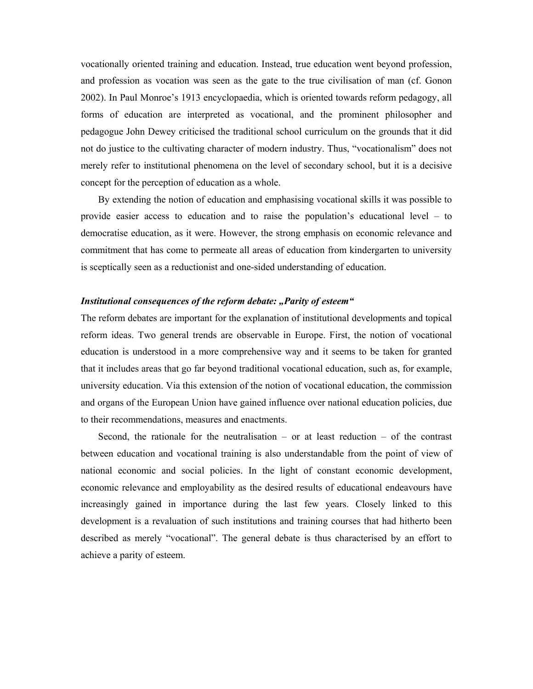vocationally oriented training and education. Instead, true education went beyond profession, and profession as vocation was seen as the gate to the true civilisation of man (cf. Gonon 2002). In Paul Monroe's 1913 encyclopaedia, which is oriented towards reform pedagogy, all forms of education are interpreted as vocational, and the prominent philosopher and pedagogue John Dewey criticised the traditional school curriculum on the grounds that it did not do justice to the cultivating character of modern industry. Thus, "vocationalism" does not merely refer to institutional phenomena on the level of secondary school, but it is a decisive concept for the perception of education as a whole.

 By extending the notion of education and emphasising vocational skills it was possible to provide easier access to education and to raise the population's educational level – to democratise education, as it were. However, the strong emphasis on economic relevance and commitment that has come to permeate all areas of education from kindergarten to university is sceptically seen as a reductionist and one-sided understanding of education.

### *Institutional consequences of the reform debate: "Parity of esteem"*

The reform debates are important for the explanation of institutional developments and topical reform ideas. Two general trends are observable in Europe. First, the notion of vocational education is understood in a more comprehensive way and it seems to be taken for granted that it includes areas that go far beyond traditional vocational education, such as, for example, university education. Via this extension of the notion of vocational education, the commission and organs of the European Union have gained influence over national education policies, due to their recommendations, measures and enactments.

Second, the rationale for the neutralisation – or at least reduction – of the contrast between education and vocational training is also understandable from the point of view of national economic and social policies. In the light of constant economic development, economic relevance and employability as the desired results of educational endeavours have increasingly gained in importance during the last few years. Closely linked to this development is a revaluation of such institutions and training courses that had hitherto been described as merely "vocational". The general debate is thus characterised by an effort to achieve a parity of esteem.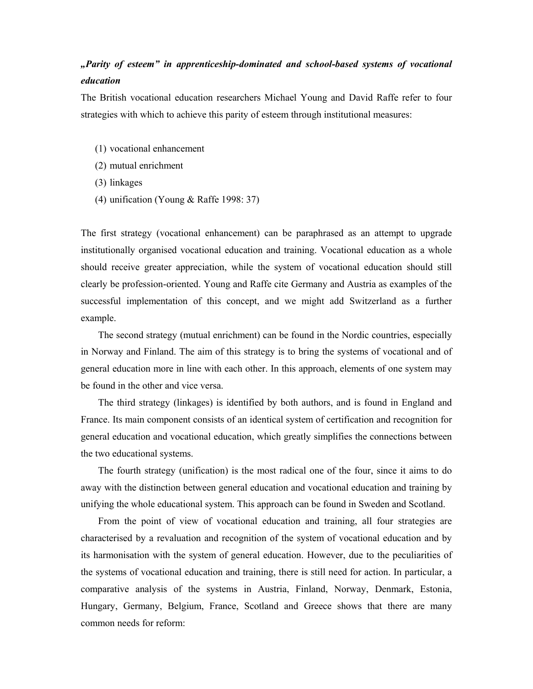# *"Parity of esteem" in apprenticeship-dominated and school-based systems of vocational education*

The British vocational education researchers Michael Young and David Raffe refer to four strategies with which to achieve this parity of esteem through institutional measures:

- (1) vocational enhancement
- (2) mutual enrichment
- (3) linkages
- (4) unification (Young & Raffe 1998: 37)

The first strategy (vocational enhancement) can be paraphrased as an attempt to upgrade institutionally organised vocational education and training. Vocational education as a whole should receive greater appreciation, while the system of vocational education should still clearly be profession-oriented. Young and Raffe cite Germany and Austria as examples of the successful implementation of this concept, and we might add Switzerland as a further example.

 The second strategy (mutual enrichment) can be found in the Nordic countries, especially in Norway and Finland. The aim of this strategy is to bring the systems of vocational and of general education more in line with each other. In this approach, elements of one system may be found in the other and vice versa.

 The third strategy (linkages) is identified by both authors, and is found in England and France. Its main component consists of an identical system of certification and recognition for general education and vocational education, which greatly simplifies the connections between the two educational systems.

 The fourth strategy (unification) is the most radical one of the four, since it aims to do away with the distinction between general education and vocational education and training by unifying the whole educational system. This approach can be found in Sweden and Scotland.

 From the point of view of vocational education and training, all four strategies are characterised by a revaluation and recognition of the system of vocational education and by its harmonisation with the system of general education. However, due to the peculiarities of the systems of vocational education and training, there is still need for action. In particular, a comparative analysis of the systems in Austria, Finland, Norway, Denmark, Estonia, Hungary, Germany, Belgium, France, Scotland and Greece shows that there are many common needs for reform: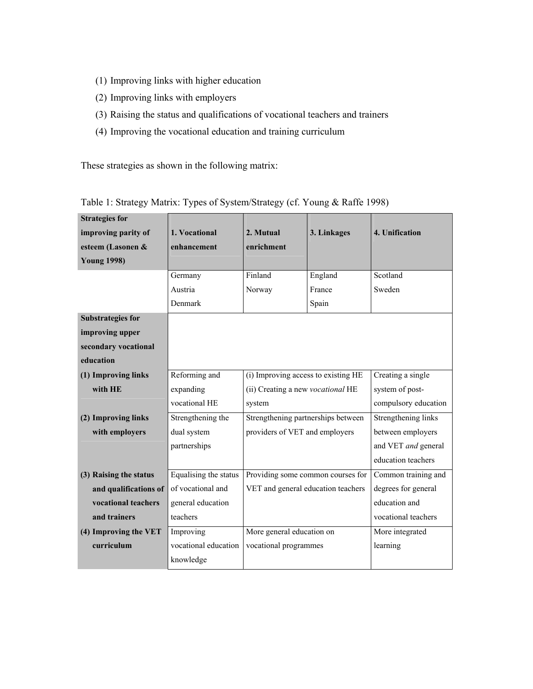- (1) Improving links with higher education
- (2) Improving links with employers
- (3) Raising the status and qualifications of vocational teachers and trainers
- (4) Improving the vocational education and training curriculum

These strategies as shown in the following matrix:

| <b>Strategies for</b><br>improving parity of<br>esteem (Lasonen &<br><b>Young 1998)</b> | 1. Vocational<br>enhancement<br>Germany | 2. Mutual<br>enrichment<br>Finland  | 3. Linkages<br>England | 4. Unification<br>Scotland |  |
|-----------------------------------------------------------------------------------------|-----------------------------------------|-------------------------------------|------------------------|----------------------------|--|
|                                                                                         | Austria                                 | Norway                              | France                 | Sweden                     |  |
|                                                                                         | Denmark                                 |                                     | Spain                  |                            |  |
| <b>Substrategies for</b>                                                                |                                         |                                     |                        |                            |  |
| improving upper                                                                         |                                         |                                     |                        |                            |  |
| secondary vocational                                                                    |                                         |                                     |                        |                            |  |
| education                                                                               |                                         |                                     |                        |                            |  |
| (1) Improving links                                                                     | Reforming and                           | (i) Improving access to existing HE |                        | Creating a single          |  |
| with HE                                                                                 | expanding                               | (ii) Creating a new vocational HE   |                        | system of post-            |  |
|                                                                                         | vocational HE                           | system                              |                        | compulsory education       |  |
| (2) Improving links                                                                     | Strengthening the                       | Strengthening partnerships between  |                        | Strengthening links        |  |
| with employers                                                                          | dual system                             | providers of VET and employers      |                        | between employers          |  |
|                                                                                         | partnerships                            |                                     |                        | and VET and general        |  |
|                                                                                         |                                         |                                     |                        | education teachers         |  |
| (3) Raising the status                                                                  | Equalising the status                   | Providing some common courses for   |                        | Common training and        |  |
| and qualifications of                                                                   | of vocational and                       | VET and general education teachers  |                        | degrees for general        |  |
| vocational teachers                                                                     | general education                       |                                     |                        | education and              |  |
| and trainers                                                                            | teachers                                |                                     |                        | vocational teachers        |  |
| (4) Improving the VET                                                                   | Improving                               | More general education on           |                        | More integrated            |  |
| curriculum                                                                              | vocational education                    | vocational programmes               |                        | learning                   |  |
|                                                                                         | knowledge                               |                                     |                        |                            |  |

| Table 1: Strategy Matrix: Types of System/Strategy (cf. Young & Raffe 1998) |  |  |  |
|-----------------------------------------------------------------------------|--|--|--|
|                                                                             |  |  |  |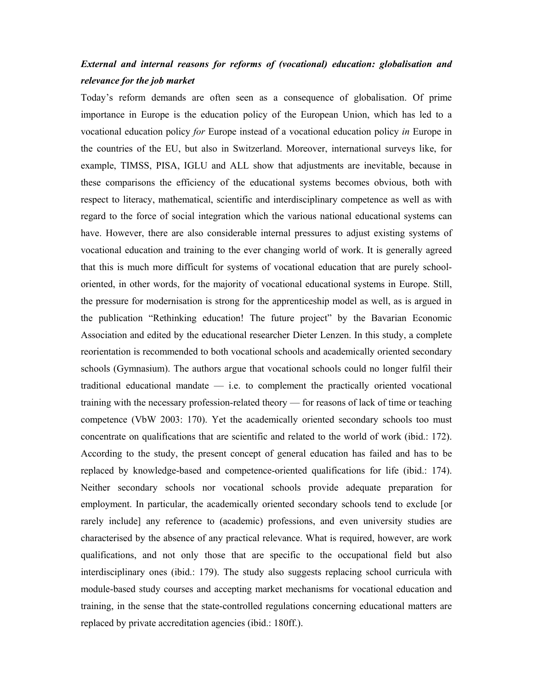## *External and internal reasons for reforms of (vocational) education: globalisation and relevance for the job market*

Today's reform demands are often seen as a consequence of globalisation. Of prime importance in Europe is the education policy of the European Union, which has led to a vocational education policy *for* Europe instead of a vocational education policy *in* Europe in the countries of the EU, but also in Switzerland. Moreover, international surveys like, for example, TIMSS, PISA, IGLU and ALL show that adjustments are inevitable, because in these comparisons the efficiency of the educational systems becomes obvious, both with respect to literacy, mathematical, scientific and interdisciplinary competence as well as with regard to the force of social integration which the various national educational systems can have. However, there are also considerable internal pressures to adjust existing systems of vocational education and training to the ever changing world of work. It is generally agreed that this is much more difficult for systems of vocational education that are purely schooloriented, in other words, for the majority of vocational educational systems in Europe. Still, the pressure for modernisation is strong for the apprenticeship model as well, as is argued in the publication "Rethinking education! The future project" by the Bavarian Economic Association and edited by the educational researcher Dieter Lenzen. In this study, a complete reorientation is recommended to both vocational schools and academically oriented secondary schools (Gymnasium). The authors argue that vocational schools could no longer fulfil their traditional educational mandate — i.e. to complement the practically oriented vocational training with the necessary profession-related theory — for reasons of lack of time or teaching competence (VbW 2003: 170). Yet the academically oriented secondary schools too must concentrate on qualifications that are scientific and related to the world of work (ibid.: 172). According to the study, the present concept of general education has failed and has to be replaced by knowledge-based and competence-oriented qualifications for life (ibid.: 174). Neither secondary schools nor vocational schools provide adequate preparation for employment. In particular, the academically oriented secondary schools tend to exclude [or rarely include] any reference to (academic) professions, and even university studies are characterised by the absence of any practical relevance. What is required, however, are work qualifications, and not only those that are specific to the occupational field but also interdisciplinary ones (ibid.: 179). The study also suggests replacing school curricula with module-based study courses and accepting market mechanisms for vocational education and training, in the sense that the state-controlled regulations concerning educational matters are replaced by private accreditation agencies (ibid.: 180ff.).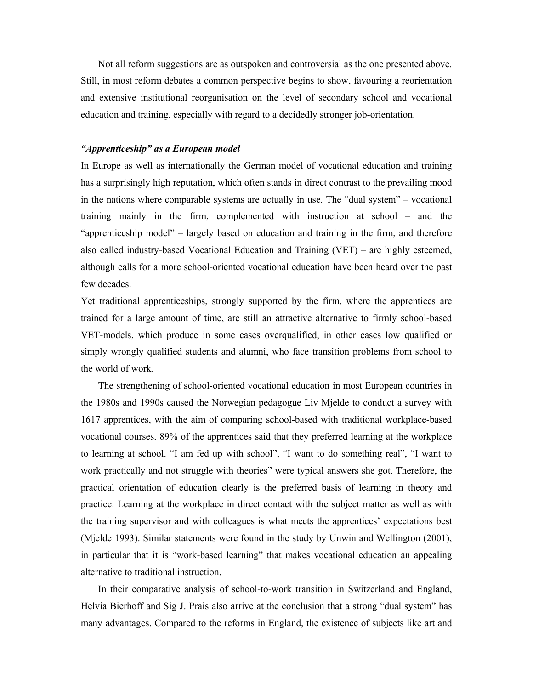Not all reform suggestions are as outspoken and controversial as the one presented above. Still, in most reform debates a common perspective begins to show, favouring a reorientation and extensive institutional reorganisation on the level of secondary school and vocational education and training, especially with regard to a decidedly stronger job-orientation.

## *"Apprenticeship" as a European model*

In Europe as well as internationally the German model of vocational education and training has a surprisingly high reputation, which often stands in direct contrast to the prevailing mood in the nations where comparable systems are actually in use. The "dual system" – vocational training mainly in the firm, complemented with instruction at school – and the "apprenticeship model" – largely based on education and training in the firm, and therefore also called industry-based Vocational Education and Training (VET) – are highly esteemed, although calls for a more school-oriented vocational education have been heard over the past few decades.

Yet traditional apprenticeships, strongly supported by the firm, where the apprentices are trained for a large amount of time, are still an attractive alternative to firmly school-based VET-models, which produce in some cases overqualified, in other cases low qualified or simply wrongly qualified students and alumni, who face transition problems from school to the world of work.

 The strengthening of school-oriented vocational education in most European countries in the 1980s and 1990s caused the Norwegian pedagogue Liv Mjelde to conduct a survey with 1617 apprentices, with the aim of comparing school-based with traditional workplace-based vocational courses. 89% of the apprentices said that they preferred learning at the workplace to learning at school. "I am fed up with school", "I want to do something real", "I want to work practically and not struggle with theories" were typical answers she got. Therefore, the practical orientation of education clearly is the preferred basis of learning in theory and practice. Learning at the workplace in direct contact with the subject matter as well as with the training supervisor and with colleagues is what meets the apprentices' expectations best (Mjelde 1993). Similar statements were found in the study by Unwin and Wellington (2001), in particular that it is "work-based learning" that makes vocational education an appealing alternative to traditional instruction.

 In their comparative analysis of school-to-work transition in Switzerland and England, Helvia Bierhoff and Sig J. Prais also arrive at the conclusion that a strong "dual system" has many advantages. Compared to the reforms in England, the existence of subjects like art and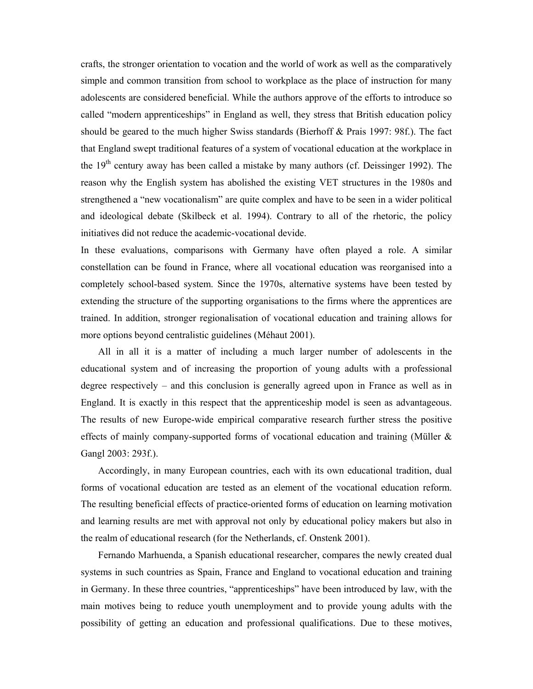crafts, the stronger orientation to vocation and the world of work as well as the comparatively simple and common transition from school to workplace as the place of instruction for many adolescents are considered beneficial. While the authors approve of the efforts to introduce so called "modern apprenticeships" in England as well, they stress that British education policy should be geared to the much higher Swiss standards (Bierhoff & Prais 1997: 98f.). The fact that England swept traditional features of a system of vocational education at the workplace in the  $19<sup>th</sup>$  century away has been called a mistake by many authors (cf. Deissinger 1992). The reason why the English system has abolished the existing VET structures in the 1980s and strengthened a "new vocationalism" are quite complex and have to be seen in a wider political and ideological debate (Skilbeck et al. 1994). Contrary to all of the rhetoric, the policy initiatives did not reduce the academic-vocational devide.

In these evaluations, comparisons with Germany have often played a role. A similar constellation can be found in France, where all vocational education was reorganised into a completely school-based system. Since the 1970s, alternative systems have been tested by extending the structure of the supporting organisations to the firms where the apprentices are trained. In addition, stronger regionalisation of vocational education and training allows for more options beyond centralistic guidelines (Méhaut 2001).

 All in all it is a matter of including a much larger number of adolescents in the educational system and of increasing the proportion of young adults with a professional degree respectively – and this conclusion is generally agreed upon in France as well as in England. It is exactly in this respect that the apprenticeship model is seen as advantageous. The results of new Europe-wide empirical comparative research further stress the positive effects of mainly company-supported forms of vocational education and training (Müller & Gangl 2003: 293f.).

 Accordingly, in many European countries, each with its own educational tradition, dual forms of vocational education are tested as an element of the vocational education reform. The resulting beneficial effects of practice-oriented forms of education on learning motivation and learning results are met with approval not only by educational policy makers but also in the realm of educational research (for the Netherlands, cf. Onstenk 2001).

 Fernando Marhuenda, a Spanish educational researcher, compares the newly created dual systems in such countries as Spain, France and England to vocational education and training in Germany. In these three countries, "apprenticeships" have been introduced by law, with the main motives being to reduce youth unemployment and to provide young adults with the possibility of getting an education and professional qualifications. Due to these motives,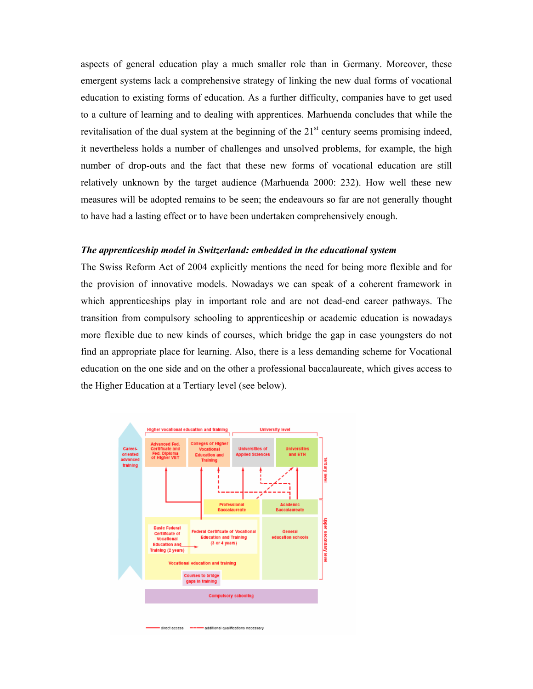aspects of general education play a much smaller role than in Germany. Moreover, these emergent systems lack a comprehensive strategy of linking the new dual forms of vocational education to existing forms of education. As a further difficulty, companies have to get used to a culture of learning and to dealing with apprentices. Marhuenda concludes that while the revitalisation of the dual system at the beginning of the  $21<sup>st</sup>$  century seems promising indeed, it nevertheless holds a number of challenges and unsolved problems, for example, the high number of drop-outs and the fact that these new forms of vocational education are still relatively unknown by the target audience (Marhuenda 2000: 232). How well these new measures will be adopted remains to be seen; the endeavours so far are not generally thought to have had a lasting effect or to have been undertaken comprehensively enough.

### *The apprenticeship model in Switzerland: embedded in the educational system*

The Swiss Reform Act of 2004 explicitly mentions the need for being more flexible and for the provision of innovative models. Nowadays we can speak of a coherent framework in which apprenticeships play in important role and are not dead-end career pathways. The transition from compulsory schooling to apprenticeship or academic education is nowadays more flexible due to new kinds of courses, which bridge the gap in case youngsters do not find an appropriate place for learning. Also, there is a less demanding scheme for Vocational education on the one side and on the other a professional baccalaureate, which gives access to the Higher Education at a Tertiary level (see below).

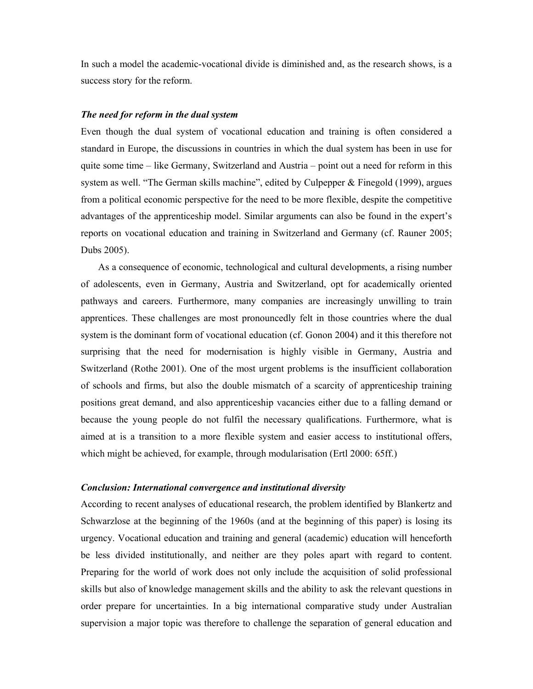In such a model the academic-vocational divide is diminished and, as the research shows, is a success story for the reform.

### *The need for reform in the dual system*

Even though the dual system of vocational education and training is often considered a standard in Europe, the discussions in countries in which the dual system has been in use for quite some time – like Germany, Switzerland and Austria – point out a need for reform in this system as well. "The German skills machine", edited by Culpepper & Finegold (1999), argues from a political economic perspective for the need to be more flexible, despite the competitive advantages of the apprenticeship model. Similar arguments can also be found in the expert's reports on vocational education and training in Switzerland and Germany (cf. Rauner 2005; Dubs 2005).

 As a consequence of economic, technological and cultural developments, a rising number of adolescents, even in Germany, Austria and Switzerland, opt for academically oriented pathways and careers. Furthermore, many companies are increasingly unwilling to train apprentices. These challenges are most pronouncedly felt in those countries where the dual system is the dominant form of vocational education (cf. Gonon 2004) and it this therefore not surprising that the need for modernisation is highly visible in Germany, Austria and Switzerland (Rothe 2001). One of the most urgent problems is the insufficient collaboration of schools and firms, but also the double mismatch of a scarcity of apprenticeship training positions great demand, and also apprenticeship vacancies either due to a falling demand or because the young people do not fulfil the necessary qualifications. Furthermore, what is aimed at is a transition to a more flexible system and easier access to institutional offers, which might be achieved, for example, through modularisation (Ertl 2000: 65ff.)

### *Conclusion: International convergence and institutional diversity*

According to recent analyses of educational research, the problem identified by Blankertz and Schwarzlose at the beginning of the 1960s (and at the beginning of this paper) is losing its urgency. Vocational education and training and general (academic) education will henceforth be less divided institutionally, and neither are they poles apart with regard to content. Preparing for the world of work does not only include the acquisition of solid professional skills but also of knowledge management skills and the ability to ask the relevant questions in order prepare for uncertainties. In a big international comparative study under Australian supervision a major topic was therefore to challenge the separation of general education and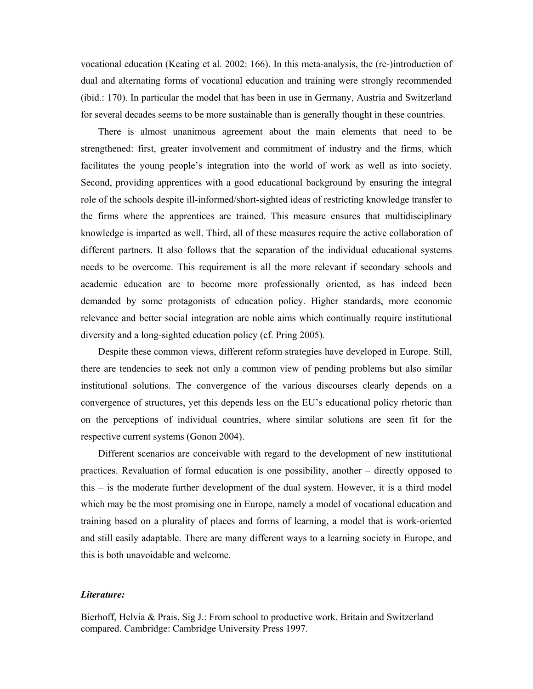vocational education (Keating et al. 2002: 166). In this meta-analysis, the (re-)introduction of dual and alternating forms of vocational education and training were strongly recommended (ibid.: 170). In particular the model that has been in use in Germany, Austria and Switzerland for several decades seems to be more sustainable than is generally thought in these countries.

 There is almost unanimous agreement about the main elements that need to be strengthened: first, greater involvement and commitment of industry and the firms, which facilitates the young people's integration into the world of work as well as into society. Second, providing apprentices with a good educational background by ensuring the integral role of the schools despite ill-informed/short-sighted ideas of restricting knowledge transfer to the firms where the apprentices are trained. This measure ensures that multidisciplinary knowledge is imparted as well. Third, all of these measures require the active collaboration of different partners. It also follows that the separation of the individual educational systems needs to be overcome. This requirement is all the more relevant if secondary schools and academic education are to become more professionally oriented, as has indeed been demanded by some protagonists of education policy. Higher standards, more economic relevance and better social integration are noble aims which continually require institutional diversity and a long-sighted education policy (cf. Pring 2005).

 Despite these common views, different reform strategies have developed in Europe. Still, there are tendencies to seek not only a common view of pending problems but also similar institutional solutions. The convergence of the various discourses clearly depends on a convergence of structures, yet this depends less on the EU's educational policy rhetoric than on the perceptions of individual countries, where similar solutions are seen fit for the respective current systems (Gonon 2004).

 Different scenarios are conceivable with regard to the development of new institutional practices. Revaluation of formal education is one possibility, another – directly opposed to this – is the moderate further development of the dual system. However, it is a third model which may be the most promising one in Europe, namely a model of vocational education and training based on a plurality of places and forms of learning, a model that is work-oriented and still easily adaptable. There are many different ways to a learning society in Europe, and this is both unavoidable and welcome.

#### *Literature:*

Bierhoff, Helvia & Prais, Sig J.: From school to productive work. Britain and Switzerland compared. Cambridge: Cambridge University Press 1997.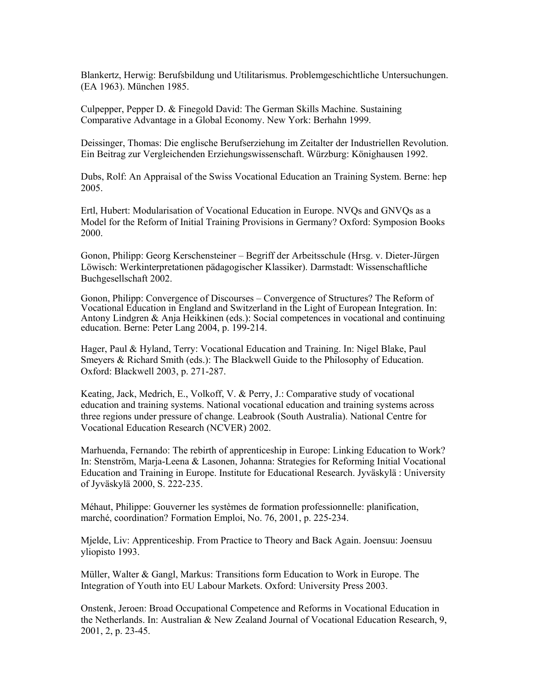Blankertz, Herwig: Berufsbildung und Utilitarismus. Problemgeschichtliche Untersuchungen. (EA 1963). München 1985.

Culpepper, Pepper D. & Finegold David: The German Skills Machine. Sustaining Comparative Advantage in a Global Economy. New York: Berhahn 1999.

Deissinger, Thomas: Die englische Berufserziehung im Zeitalter der Industriellen Revolution. Ein Beitrag zur Vergleichenden Erziehungswissenschaft. Würzburg: Könighausen 1992.

Dubs, Rolf: An Appraisal of the Swiss Vocational Education an Training System. Berne: hep 2005.

Ertl, Hubert: Modularisation of Vocational Education in Europe. NVQs and GNVQs as a Model for the Reform of Initial Training Provisions in Germany? Oxford: Symposion Books 2000.

Gonon, Philipp: Georg Kerschensteiner – Begriff der Arbeitsschule (Hrsg. v. Dieter-Jürgen Löwisch: Werkinterpretationen pädagogischer Klassiker). Darmstadt: Wissenschaftliche Buchgesellschaft 2002.

Gonon, Philipp: Convergence of Discourses – Convergence of Structures? The Reform of Vocational Education in England and Switzerland in the Light of European Integration. In: Antony Lindgren & Anja Heikkinen (eds.): Social competences in vocational and continuing education. Berne: Peter Lang 2004, p. 199-214.

Hager, Paul & Hyland, Terry: Vocational Education and Training. In: Nigel Blake, Paul Smeyers & Richard Smith (eds.): The Blackwell Guide to the Philosophy of Education. Oxford: Blackwell 2003, p. 271-287.

Keating, Jack, Medrich, E., Volkoff, V. & Perry, J.: Comparative study of vocational education and training systems. National vocational education and training systems across three regions under pressure of change. Leabrook (South Australia). National Centre for Vocational Education Research (NCVER) 2002.

Marhuenda, Fernando: The rebirth of apprenticeship in Europe: Linking Education to Work? In: Stenström, Marja-Leena & Lasonen, Johanna: Strategies for Reforming Initial Vocational Education and Training in Europe. Institute for Educational Research. Jyväskylä : University of Jyväskylä 2000, S. 222-235.

Méhaut, Philippe: Gouverner les systèmes de formation professionnelle: planification, marché, coordination? Formation Emploi, No. 76, 2001, p. 225-234.

Mjelde, Liv: Apprenticeship. From Practice to Theory and Back Again. Joensuu: Joensuu yliopisto 1993.

Müller, Walter & Gangl, Markus: Transitions form Education to Work in Europe. The Integration of Youth into EU Labour Markets. Oxford: University Press 2003.

Onstenk, Jeroen: Broad Occupational Competence and Reforms in Vocational Education in the Netherlands. In: Australian & New Zealand Journal of Vocational Education Research, 9, 2001, 2, p. 23-45.